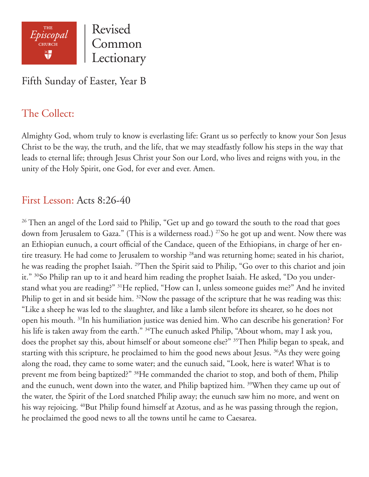

Fifth Sunday of Easter, Year B

### The Collect:

Almighty God, whom truly to know is everlasting life: Grant us so perfectly to know your Son Jesus Christ to be the way, the truth, and the life, that we may steadfastly follow his steps in the way that leads to eternal life; through Jesus Christ your Son our Lord, who lives and reigns with you, in the unity of the Holy Spirit, one God, for ever and ever. Amen.

#### First Lesson: Acts 8:26-40

<sup>26</sup> Then an angel of the Lord said to Philip, "Get up and go toward the south to the road that goes down from Jerusalem to Gaza." (This is a wilderness road.) <sup>27</sup>So he got up and went. Now there was an Ethiopian eunuch, a court official of the Candace, queen of the Ethiopians, in charge of her entire treasury. He had come to Jerusalem to worship <sup>28</sup>and was returning home; seated in his chariot, he was reading the prophet Isaiah. <sup>29</sup>Then the Spirit said to Philip, "Go over to this chariot and join it." <sup>30</sup>So Philip ran up to it and heard him reading the prophet Isaiah. He asked, "Do you understand what you are reading?" 31He replied, "How can I, unless someone guides me?" And he invited Philip to get in and sit beside him. <sup>32</sup>Now the passage of the scripture that he was reading was this: "Like a sheep he was led to the slaughter, and like a lamb silent before its shearer, so he does not open his mouth. 33In his humiliation justice was denied him. Who can describe his generation? For his life is taken away from the earth." <sup>34</sup>The eunuch asked Philip, "About whom, may I ask you, does the prophet say this, about himself or about someone else?" 35Then Philip began to speak, and starting with this scripture, he proclaimed to him the good news about Jesus. <sup>36</sup>As they were going along the road, they came to some water; and the eunuch said, "Look, here is water! What is to prevent me from being baptized?" <sup>38</sup>He commanded the chariot to stop, and both of them, Philip and the eunuch, went down into the water, and Philip baptized him. <sup>39</sup>When they came up out of the water, the Spirit of the Lord snatched Philip away; the eunuch saw him no more, and went on his way rejoicing. <sup>40</sup>But Philip found himself at Azotus, and as he was passing through the region, he proclaimed the good news to all the towns until he came to Caesarea.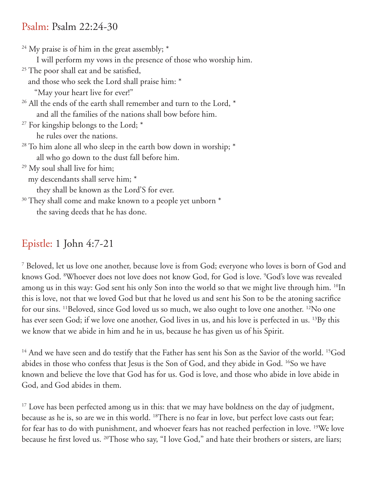#### Psalm: Psalm 22:24-30

<sup>24</sup> My praise is of him in the great assembly;  $*$  I will perform my vows in the presence of those who worship him. <sup>25</sup> The poor shall eat and be satisfied, and those who seek the Lord shall praise him: \* "May your heart live for ever!"  $26$  All the ends of the earth shall remember and turn to the Lord,  $*$  and all the families of the nations shall bow before him.  $27$  For kingship belongs to the Lord;  $*$  he rules over the nations.  $28$  To him alone all who sleep in the earth bow down in worship;  $*$  all who go down to the dust fall before him. 29 My soul shall live for him; my descendants shall serve him; \* they shall be known as the Lord'S for ever. <sup>30</sup> They shall come and make known to a people yet unborn  $*$ the saving deeds that he has done.

# Epistle: 1 John 4:7-21

7 Beloved, let us love one another, because love is from God; everyone who loves is born of God and knows God. 8 Whoever does not love does not know God, for God is love. 9 God's love was revealed among us in this way: God sent his only Son into the world so that we might live through him. <sup>10</sup>In this is love, not that we loved God but that he loved us and sent his Son to be the atoning sacrifice for our sins. <sup>11</sup>Beloved, since God loved us so much, we also ought to love one another. <sup>12</sup>No one has ever seen God; if we love one another, God lives in us, and his love is perfected in us. 13By this we know that we abide in him and he in us, because he has given us of his Spirit.

<sup>14</sup> And we have seen and do testify that the Father has sent his Son as the Savior of the world. <sup>15</sup>God abides in those who confess that Jesus is the Son of God, and they abide in God. <sup>16</sup>So we have known and believe the love that God has for us. God is love, and those who abide in love abide in God, and God abides in them.

<sup>17</sup> Love has been perfected among us in this: that we may have boldness on the day of judgment, because as he is, so are we in this world. 18There is no fear in love, but perfect love casts out fear; for fear has to do with punishment, and whoever fears has not reached perfection in love. 19We love because he first loved us. 20Those who say, "I love God," and hate their brothers or sisters, are liars;